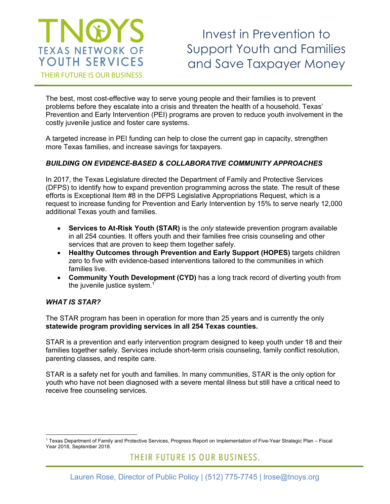# NGYS **TEXAS NETWORK OF** YOUTH SERVICES

Invest in Prevention to Support Youth and Families and Save Taxpayer Money

THEIR FUTURE IS OUR BUSINESS.

The best, most cost-effective way to serve young people and their families is to prevent problems before they escalate into a crisis and threaten the health of a household. Texas' Prevention and Early Intervention (PEI) programs are proven to reduce youth involvement in the costly juvenile justice and foster care systems.

A targeted increase in PEI funding can help to close the current gap in capacity, strengthen more Texas families, and increase savings for taxpayers.

### *BUILDING ON EVIDENCE-BASED & COLLABORATIVE COMMUNITY APPROACHES*

In 2017, the Texas Legislature directed the Department of Family and Protective Services (DFPS) to identify how to expand prevention programming across the state. The result of these efforts is Exceptional Item #8 in the DFPS Legislative Appropriations Request, which is a request to increase funding for Prevention and Early Intervention by 15% to serve nearly 12,000 additional Texas youth and families.

- **Services to At-Risk Youth (STAR)** is the *only* statewide prevention program available in all 254 counties. It offers youth and their families free crisis counseling and other services that are proven to keep them together safely.
- **Healthy Outcomes through Prevention and Early Support (HOPES)** targets children zero to five with evidence-based interventions tailored to the communities in which families live.
- **Community Youth Development (CYD)** has a long track record of diverting youth from the juvenile justice system. $1$

#### *WHAT IS STAR?*

The STAR program has been in operation for more than 25 years and is currently the only **statewide program providing services in all 254 Texas counties.** 

STAR is a prevention and early intervention program designed to keep youth under 18 and their families together safely. Services include short-term crisis counseling, family conflict resolution, parenting classes, and respite care.

STAR is a safety net for youth and families. In many communities, STAR is the only option for youth who have not been diagnosed with a severe mental illness but still have a critical need to receive free counseling services.

THEIR FUTURE IS OUR BUSINESS.

 $\overline{a}$ <sup>1</sup> Texas Department of Family and Protective Services, Progress Report on Implementation of Five-Year Strategic Plan – Fiscal Year 2018, September 2018.